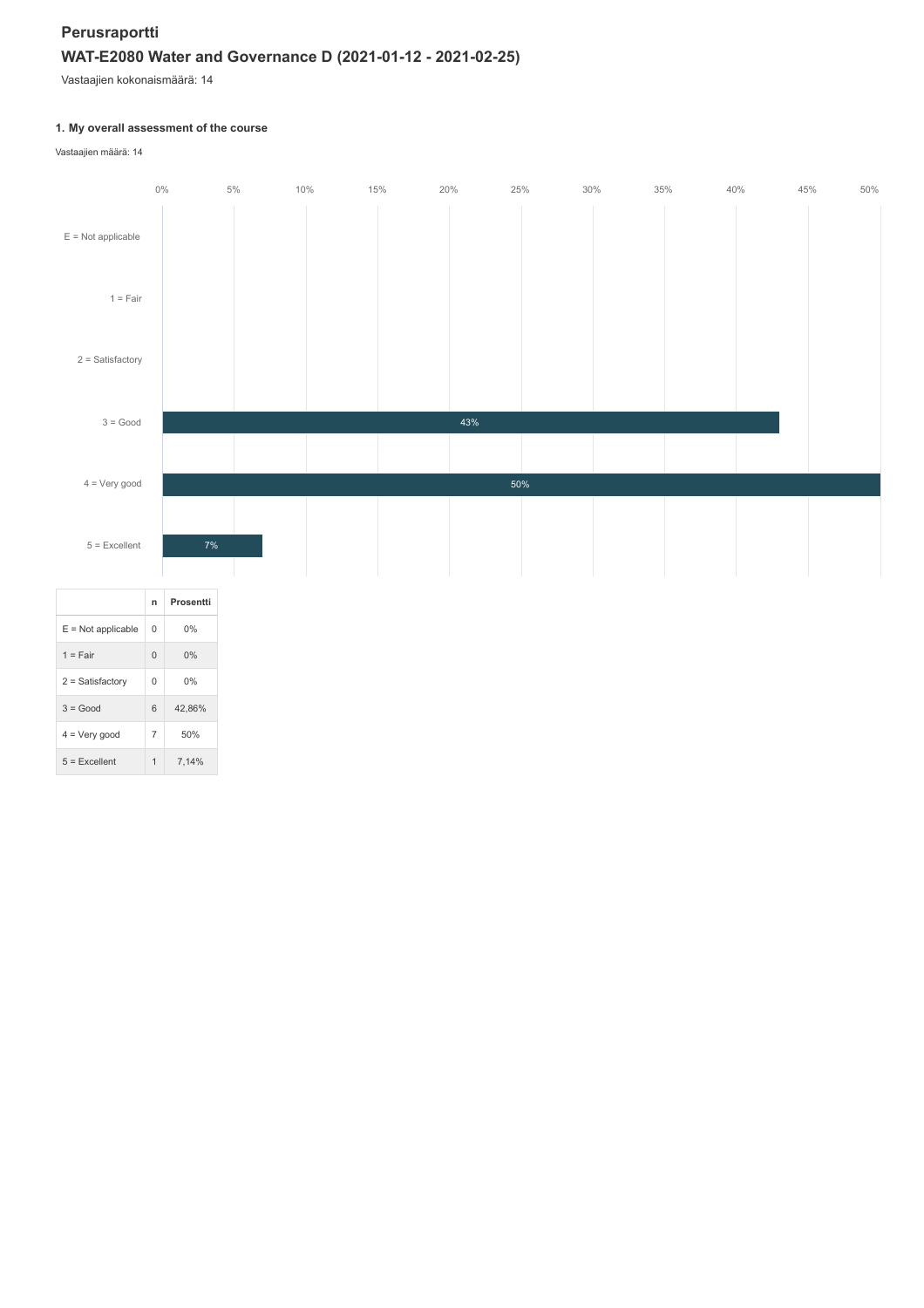# **Perusraportti WAT-E2080 Water and Governance D (2021-01-12 - 2021-02-25)**

Vastaajien kokonaismäärä: 14

# **1. My overall assessment of the course**

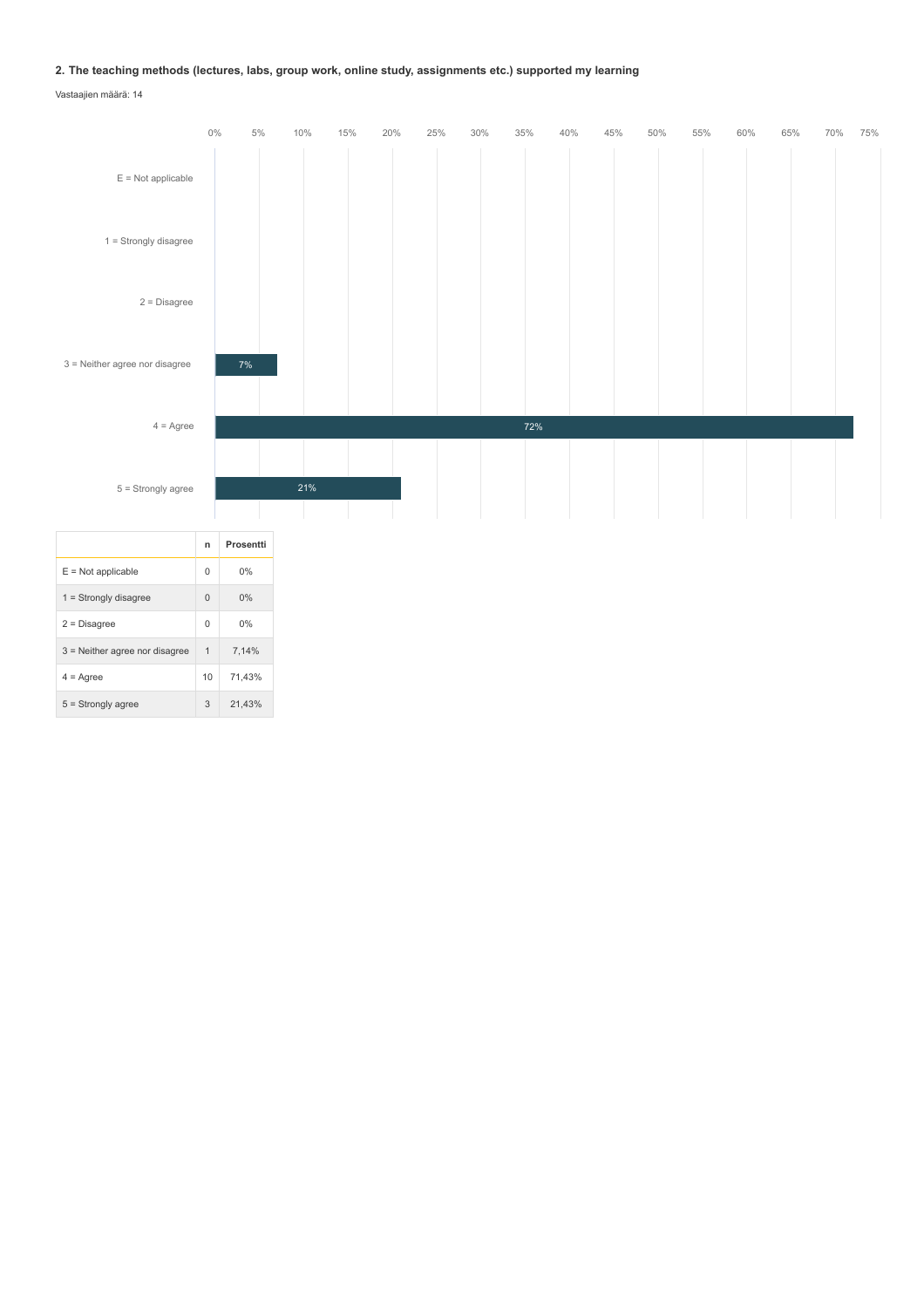## **2. The teaching methods (lectures, labs, group work, online study, assignments etc.) supported my learning**

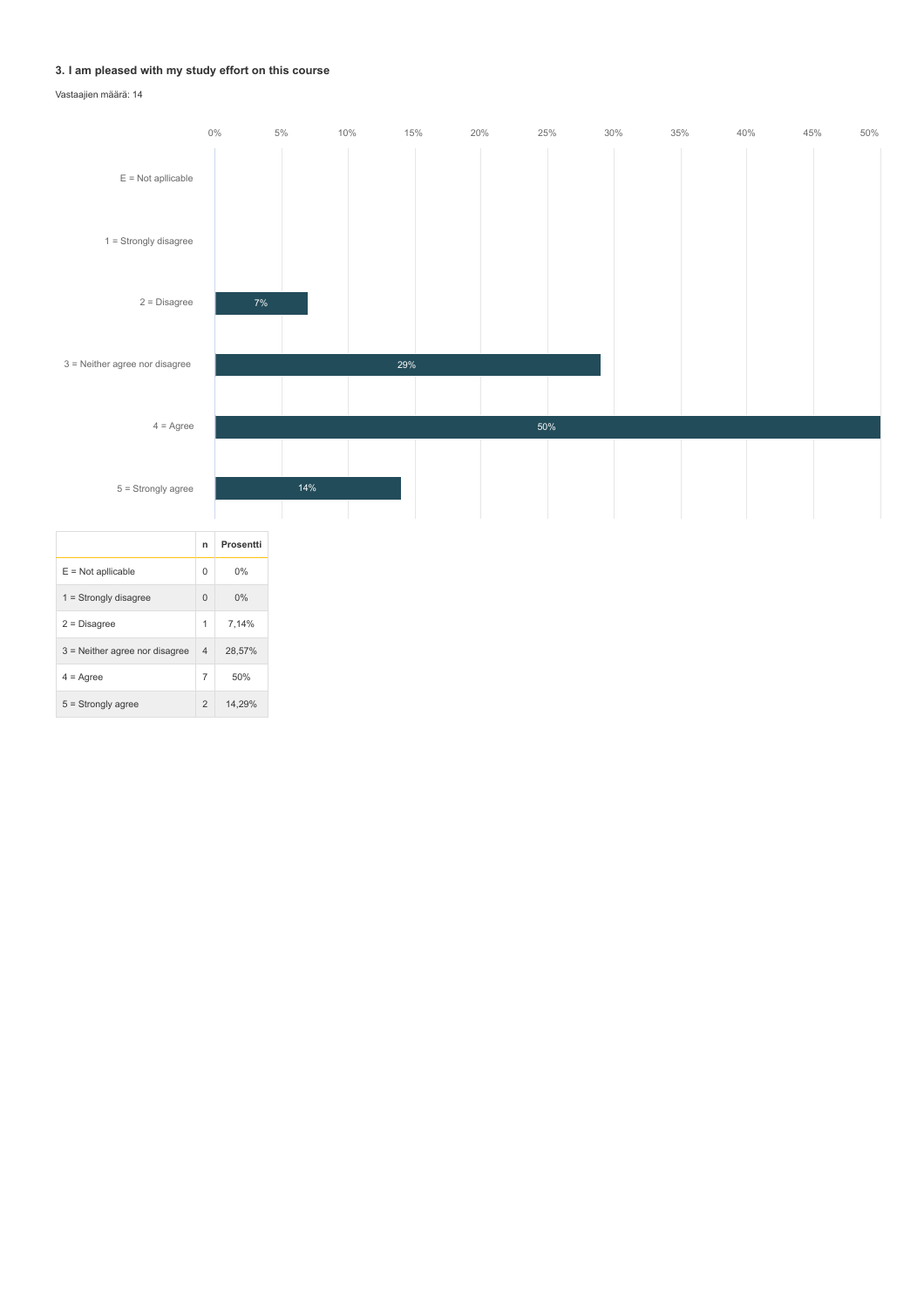## **3. I am pleased with my study effort on this course**

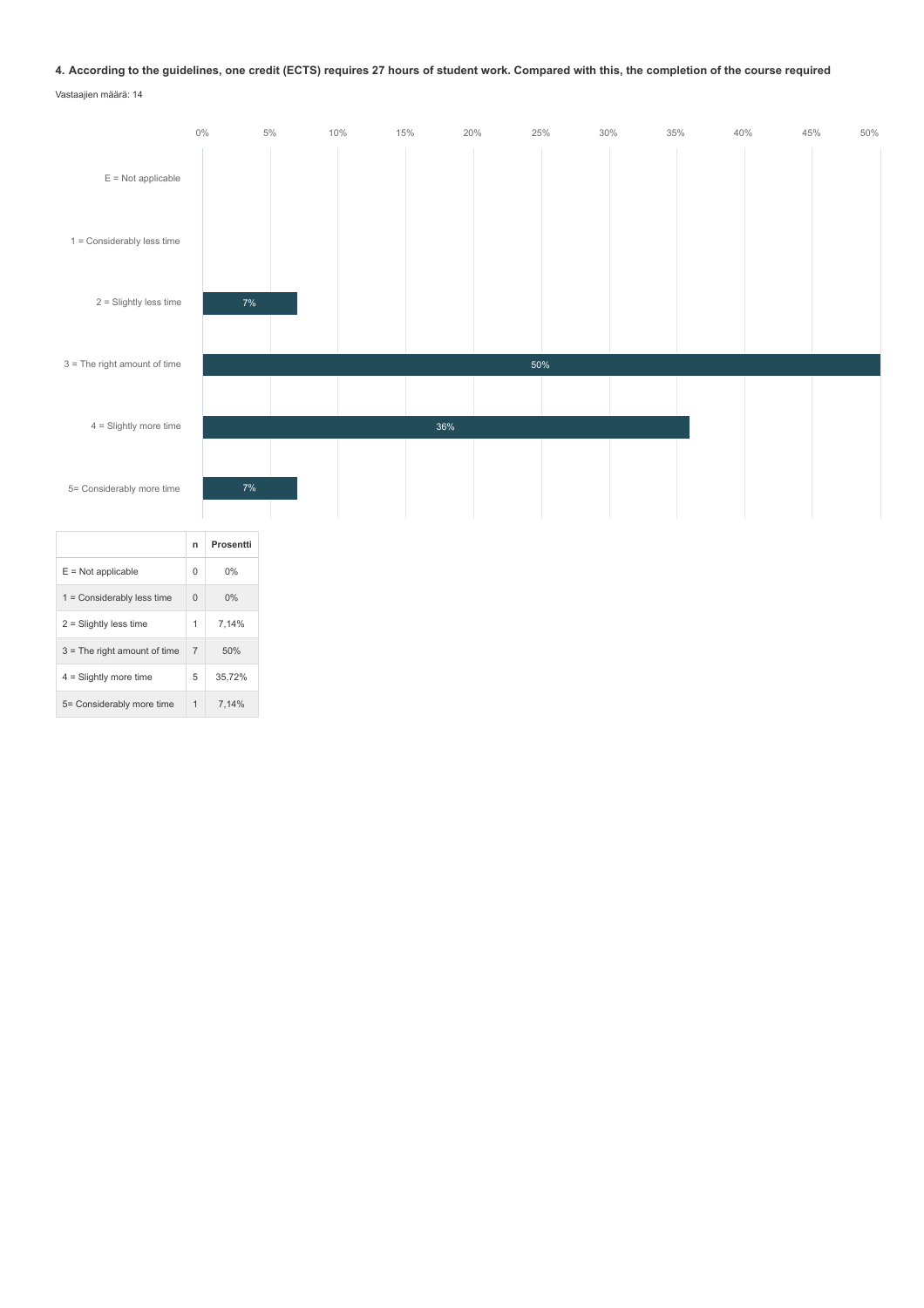## **4. According to the guidelines, one credit (ECTS) requires 27 hours of student work. Compared with this, the completion of the course required**

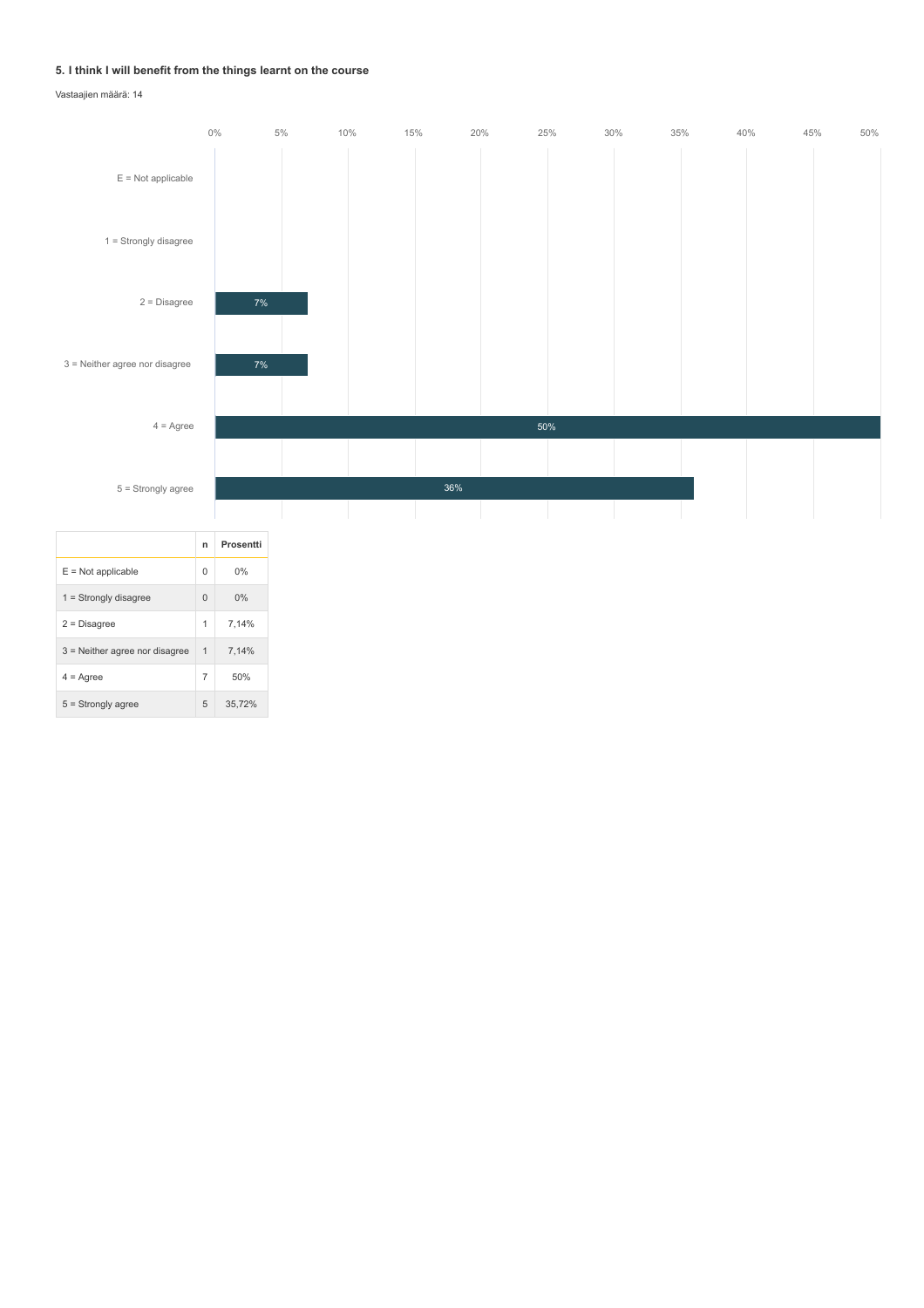### **5. I think I will benefit from the things learnt on the course**

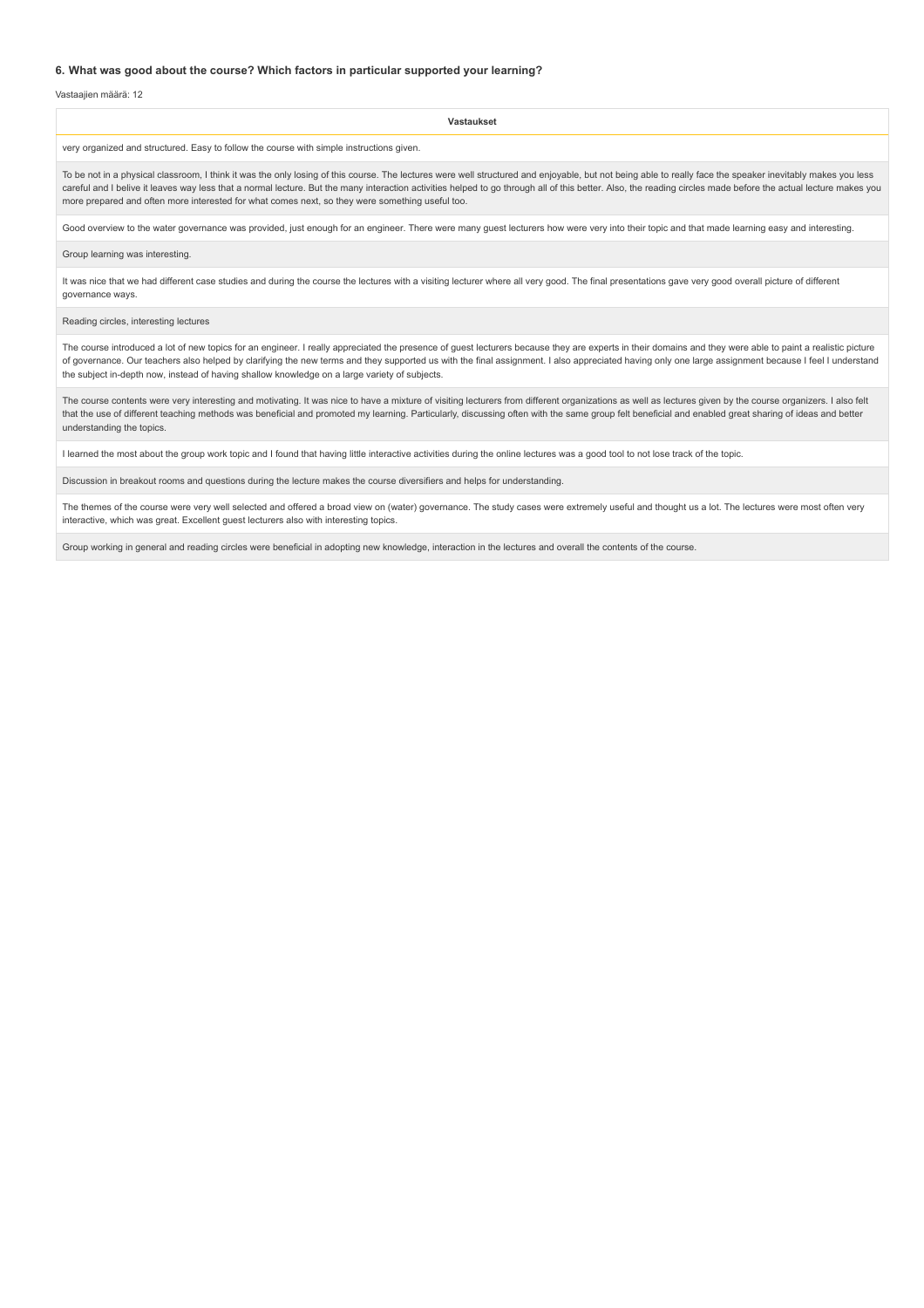#### **6. What was good about the course? Which factors in particular supported your learning?**

Vastaajien määrä: 12

| Vastaukset                                                                                                                                                                                                                                                                                                                                                                                                                                                                                                                      |  |  |
|---------------------------------------------------------------------------------------------------------------------------------------------------------------------------------------------------------------------------------------------------------------------------------------------------------------------------------------------------------------------------------------------------------------------------------------------------------------------------------------------------------------------------------|--|--|
| very organized and structured. Easy to follow the course with simple instructions given.                                                                                                                                                                                                                                                                                                                                                                                                                                        |  |  |
| To be not in a physical classroom, I think it was the only losing of this course. The lectures were well structured and enjoyable, but not being able to really face the speaker inevitably makes you less<br>careful and I belive it leaves way less that a normal lecture. But the many interaction activities helped to go through all of this better. Also, the reading circles made before the actual lecture makes you<br>more prepared and often more interested for what comes next, so they were something useful too. |  |  |
| Good overview to the water governance was provided, just enough for an engineer. There were many guest lecturers how were very into their topic and that made learning easy and interesting.                                                                                                                                                                                                                                                                                                                                    |  |  |
| Group learning was interesting.                                                                                                                                                                                                                                                                                                                                                                                                                                                                                                 |  |  |
| It was nice that we had different case studies and during the course the lectures with a visiting lecturer where all very good. The final presentations gave very good overall picture of different<br>governance ways.                                                                                                                                                                                                                                                                                                         |  |  |

Reading circles, interesting lectures

The course introduced a lot of new topics for an engineer. I really appreciated the presence of guest lecturers because they are experts in their domains and they were able to paint a realistic picture of governance. Our teachers also helped by clarifying the new terms and they supported us with the final assignment. I also appreciated having only one large assignment because I feel I understand the subject in-depth now, instead of having shallow knowledge on a large variety of subjects.

The course contents were very interesting and motivating. It was nice to have a mixture of visiting lecturers from different organizations as well as lectures given by the course organizers. I also felt that the use of different teaching methods was beneficial and promoted my learning. Particularly, discussing often with the same group felt beneficial and enabled great sharing of ideas and better understanding the topics.

I learned the most about the group work topic and I found that having little interactive activities during the online lectures was a good tool to not lose track of the topic.

Discussion in breakout rooms and questions during the lecture makes the course diversifiers and helps for understanding.

The themes of the course were very well selected and offered a broad view on (water) governance. The study cases were extremely useful and thought us a lot. The lectures were most often very interactive, which was great. Excellent guest lecturers also with interesting topics.

Group working in general and reading circles were beneficial in adopting new knowledge, interaction in the lectures and overall the contents of the course.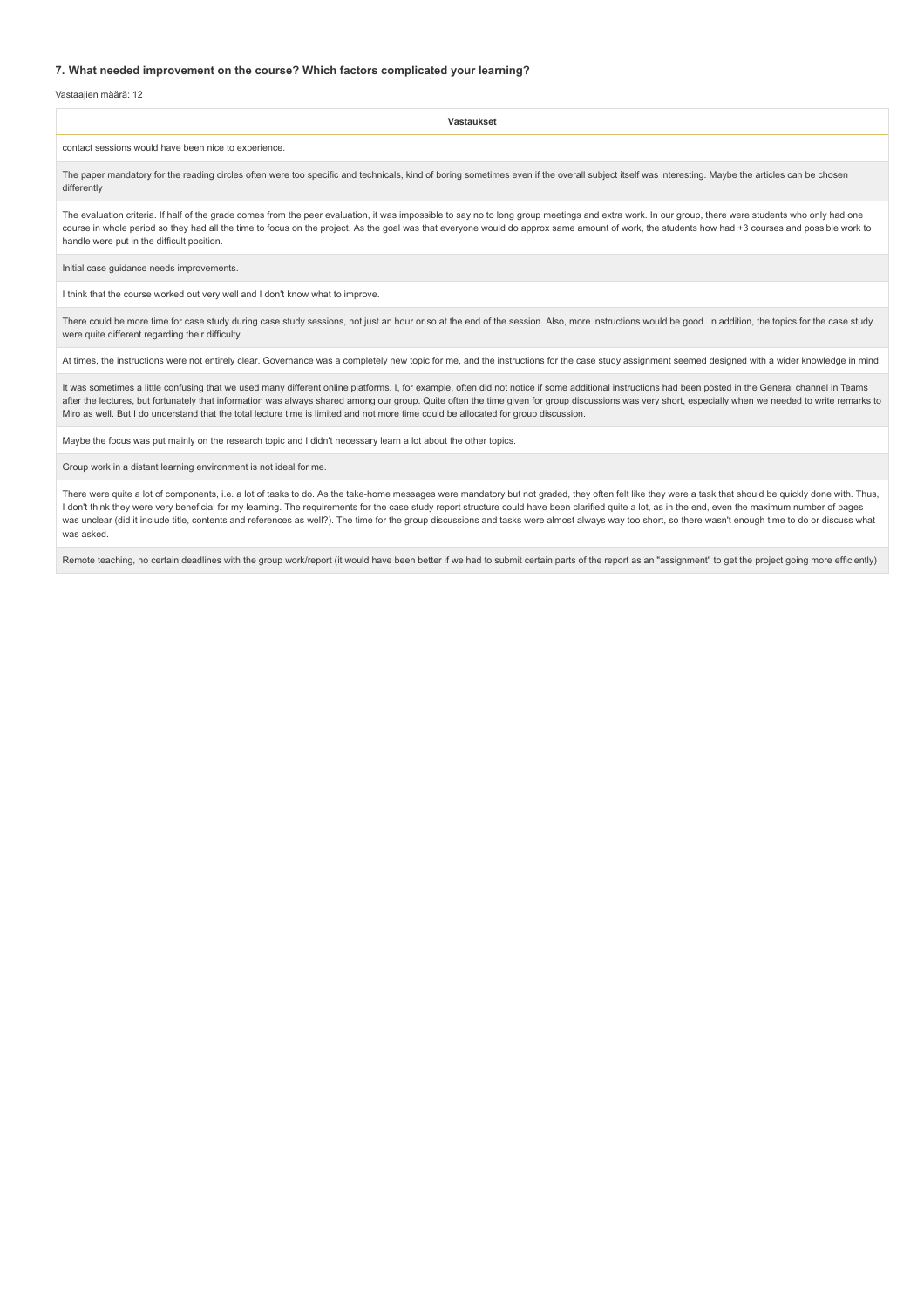#### **7. What needed improvement on the course? Which factors complicated your learning?**

Vastaajien määrä: 12

**Vastaukset** contact sessions would have been nice to experience. The paper mandatory for the reading circles often were too specific and technicals, kind of boring sometimes even if the overall subject itself was interesting. Maybe the articles can be chosen differently The evaluation criteria. If half of the grade comes from the peer evaluation, it was impossible to say no to long group meetings and extra work. In our group, there were students who only had one course in whole period so they had all the time to focus on the project. As the goal was that everyone would do approx same amount of work, the students how had +3 courses and possible work to handle were put in the difficult position. Initial case guidance needs improvements. I think that the course worked out very well and I don't know what to improve.

There could be more time for case study during case study sessions, not just an hour or so at the end of the session. Also, more instructions would be good. In addition, the topics for the case study were quite different regarding their difficulty.

At times, the instructions were not entirely clear. Governance was a completely new topic for me, and the instructions for the case study assignment seemed designed with a wider knowledge in mind.

It was sometimes a little confusing that we used many different online platforms. I, for example, often did not notice if some additional instructions had been posted in the General channel in Teams after the lectures, but fortunately that information was always shared among our group. Quite often the time given for group discussions was very short, especially when we needed to write remarks to Miro as well. But I do understand that the total lecture time is limited and not more time could be allocated for group discussion.

Maybe the focus was put mainly on the research topic and I didn't necessary learn a lot about the other topics.

Group work in a distant learning environment is not ideal for me.

There were quite a lot of components, i.e. a lot of tasks to do. As the take-home messages were mandatory but not graded, they often felt like they were a task that should be quickly done with. Thus, I don't think they were very beneficial for my learning. The requirements for the case study report structure could have been clarified quite a lot, as in the end, even the maximum number of pages was unclear (did it include title, contents and references as well?). The time for the group discussions and tasks were almost always way too short, so there wasn't enough time to do or discuss what was asked.

Remote teaching, no certain deadlines with the group work/report (it would have been better if we had to submit certain parts of the report as an "assignment" to get the project going more efficiently)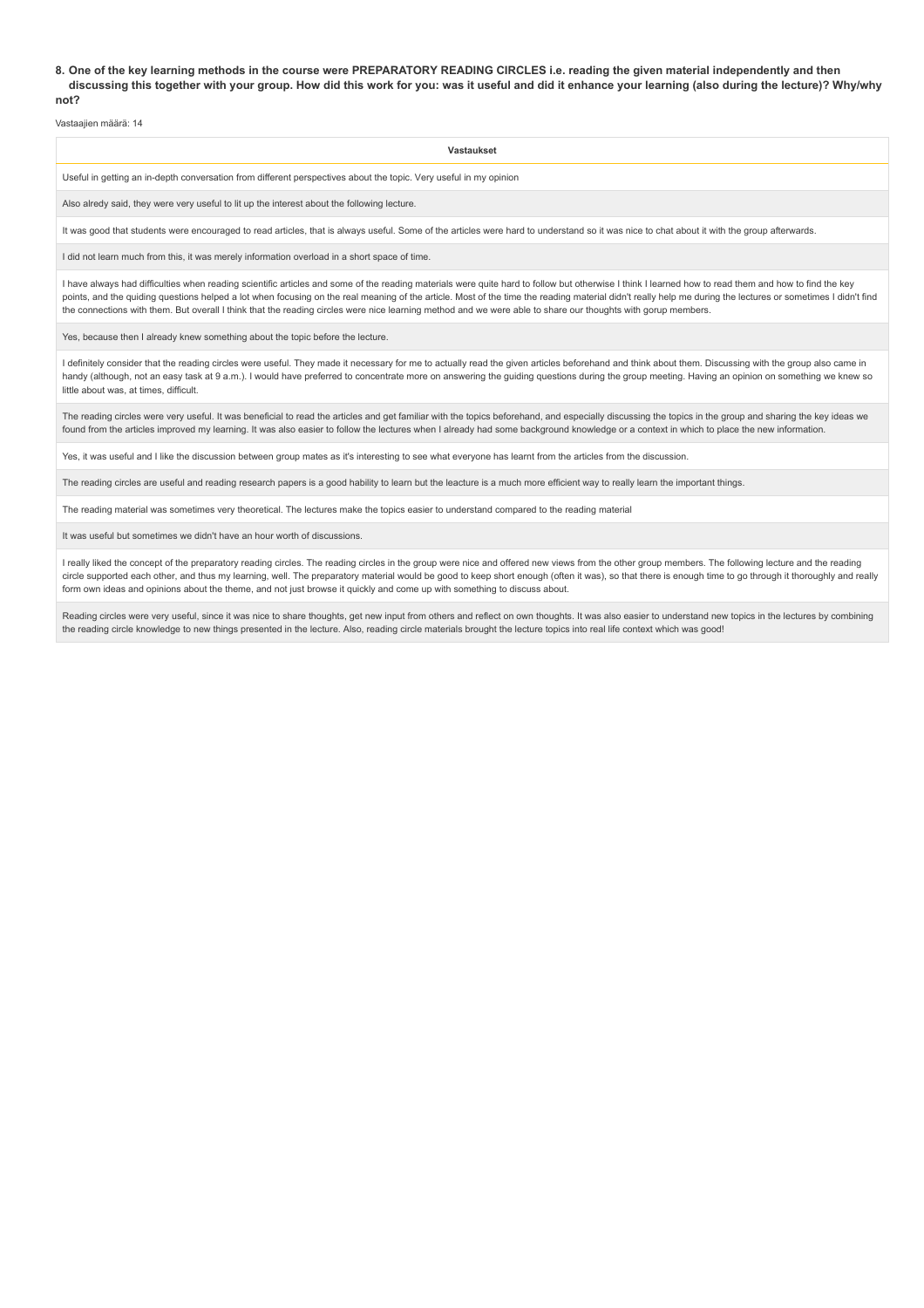#### **8. One of the key learning methods in the course were PREPARATORY READING CIRCLES i.e. reading the given material independently and then discussing this together with your group. How did this work for you: was it useful and did it enhance your learning (also during the lecture)? Why/why not?**

Vastaajien määrä: 14

| Vastaukset                                                                                                                                                                                 |
|--------------------------------------------------------------------------------------------------------------------------------------------------------------------------------------------|
| Useful in getting an in-depth conversation from different perspectives about the topic. Very useful in my opinion                                                                          |
| Also alredy said, they were very useful to lit up the interest about the following lecture.                                                                                                |
| It was good that students were encouraged to read articles, that is always useful. Some of the articles were hard to understand so it was nice to chat about it with the group afterwards. |
|                                                                                                                                                                                            |

I did not learn much from this, it was merely information overload in a short space of time

I have always had difficulties when reading scientific articles and some of the reading materials were quite hard to follow but otherwise I think I learned how to read them and how to find the key points, and the quiding questions helped a lot when focusing on the real meaning of the article. Most of the time the reading material didn't really help me during the lectures or sometimes I didn't find the connections with them. But overall I think that the reading circles were nice learning method and we were able to share our thoughts with gorup members.

Yes, because then I already knew something about the topic before the lecture.

I definitely consider that the reading circles were useful. They made it necessary for me to actually read the given articles beforehand and think about them. Discussing with the group also came in handy (although, not an easy task at 9 a.m.). I would have preferred to concentrate more on answering the quiding questions during the group meeting. Having an opinion on something we knew so little about was, at times, difficult.

The reading circles were very useful. It was beneficial to read the articles and get familiar with the topics beforehand, and especially discussing the topics in the group and sharing the key ideas we found from the articles improved my learning. It was also easier to follow the lectures when I already had some background knowledge or a context in which to place the new information.

Yes, it was useful and I like the discussion between group mates as it's interesting to see what everyone has learnt from the articles from the discussion.

The reading circles are useful and reading research papers is a good hability to learn but the leacture is a much more efficient way to really learn the important things.

The reading material was sometimes very theoretical. The lectures make the topics easier to understand compared to the reading material

It was useful but sometimes we didn't have an hour worth of discussions.

I really liked the concept of the preparatory reading circles. The reading circles in the group were nice and offered new views from the other group members. The following lecture and the reading circle supported each other, and thus my learning, well. The preparatory material would be good to keep short enough (often it was), so that there is enough time to go through it thoroughly and really form own ideas and opinions about the theme, and not just browse it quickly and come up with something to discuss about.

Reading circles were very useful, since it was nice to share thoughts, get new input from others and reflect on own thoughts. It was also easier to understand new topics in the lectures by combining the reading circle knowledge to new things presented in the lecture. Also, reading circle materials brought the lecture topics into real life context which was good!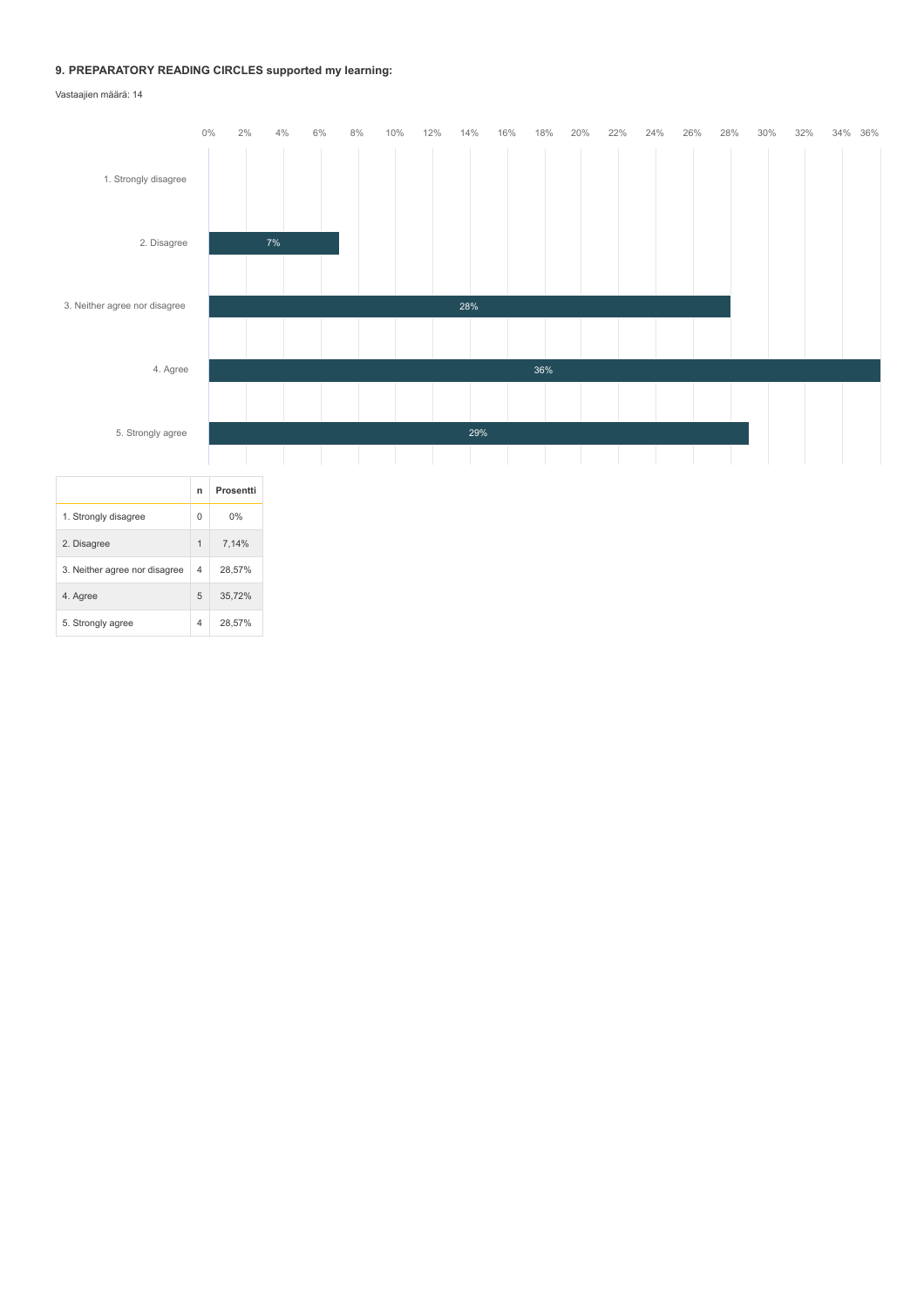## **9. PREPARATORY READING CIRCLES supported my learning:**

Vastaajien määrä: 14

5. Strongly agree 4 28,57%

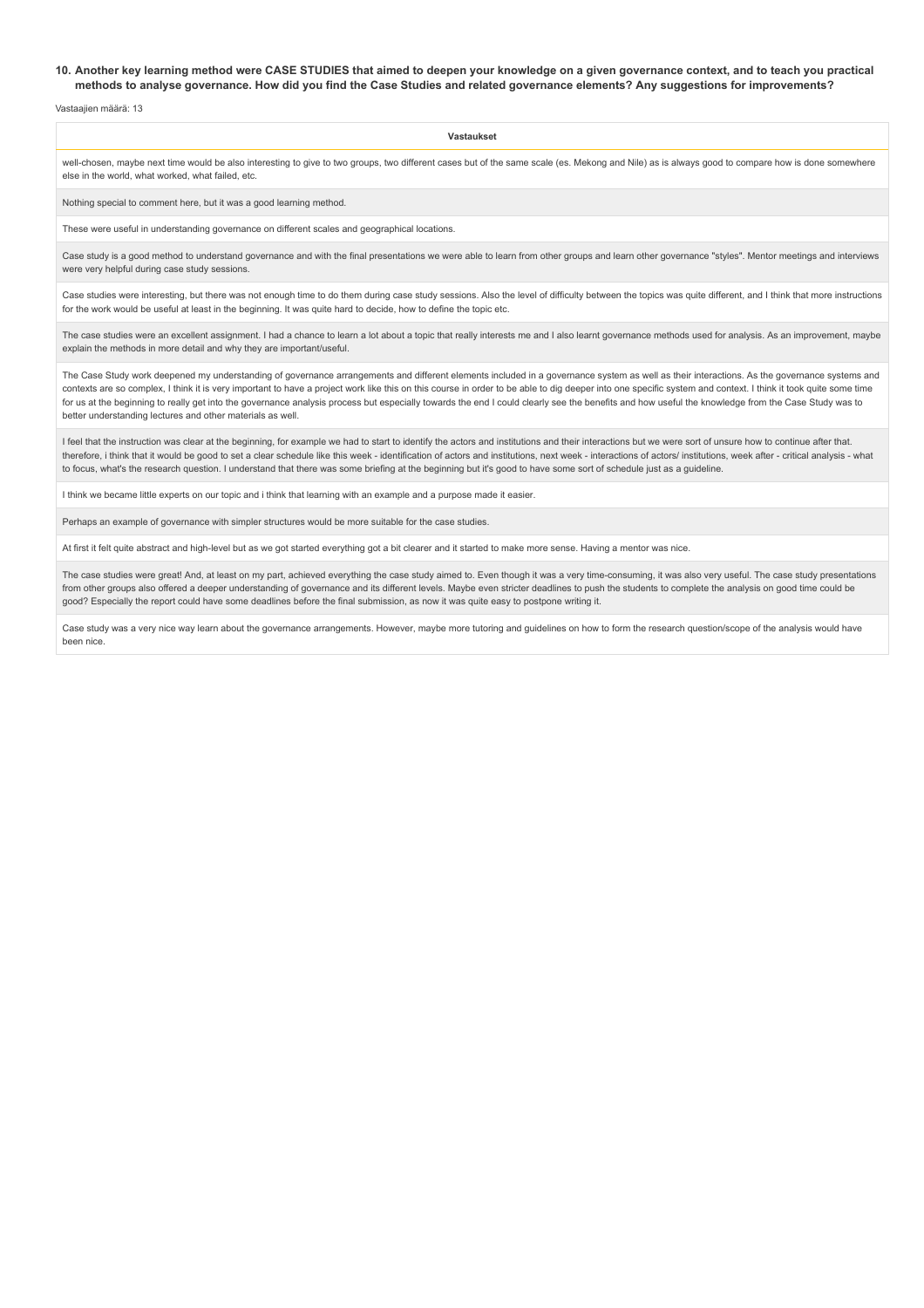#### **10. Another key learning method were CASE STUDIES that aimed to deepen your knowledge on a given governance context, and to teach you practical methods to analyse governance. How did you find the Case Studies and related governance elements? Any suggestions for improvements?**

Vastaajien määrä: 13

**Vastaukset**

well-chosen, maybe next time would be also interesting to give to two groups, two different cases but of the same scale (es. Mekong and Nile) as is always good to compare how is done somewhere else in the world, what worked, what failed, etc.

Nothing special to comment here, but it was a good learning method.

These were useful in understanding governance on different scales and geographical locations.

Case study is a good method to understand governance and with the final presentations we were able to learn from other groups and learn other governance "styles". Mentor meetings and interviews were very helpful during case study sessions.

Case studies were interesting, but there was not enough time to do them during case study sessions. Also the level of difficulty between the topics was quite different, and I think that more instructions for the work would be useful at least in the beginning. It was quite hard to decide, how to define the topic etc.

The case studies were an excellent assignment. I had a chance to learn a lot about a topic that really interests me and I also learnt governance methods used for analysis. As an improvement, maybe explain the methods in more detail and why they are important/useful.

The Case Study work deepened my understanding of governance arrangements and different elements included in a governance system as well as their interactions. As the governance systems and contexts are so complex, I think it is very important to have a project work like this on this course in order to be able to dig deeper into one specific system and context. I think it took quite some time for us at the beginning to really get into the governance analysis process but especially towards the end I could clearly see the benefits and how useful the knowledge from the Case Study was to better understanding lectures and other materials as well.

I feel that the instruction was clear at the beginning, for example we had to start to identify the actors and institutions and their interactions but we were sort of unsure how to continue after that. therefore, i think that it would be good to set a clear schedule like this week - identification of actors and institutions, next week - interactions of actors/ institutions, week after - critical analysis - what to focus, what's the research question. I understand that there was some briefing at the beginning but it's good to have some sort of schedule just as a guideline.

I think we became little experts on our topic and i think that learning with an example and a purpose made it easier.

Perhaps an example of governance with simpler structures would be more suitable for the case studies.

At first it felt quite abstract and high-level but as we got started everything got a bit clearer and it started to make more sense. Having a mentor was nice.

The case studies were great! And, at least on my part, achieved everything the case study aimed to. Even though it was a very time-consuming, it was also very useful. The case study presentations from other groups also offered a deeper understanding of governance and its different levels. Maybe even stricter deadlines to push the students to complete the analysis on good time could be good? Especially the report could have some deadlines before the final submission, as now it was quite easy to postpone writing it.

Case study was a very nice way learn about the governance arrangements. However, maybe more tutoring and guidelines on how to form the research question/scope of the analysis would have been nice.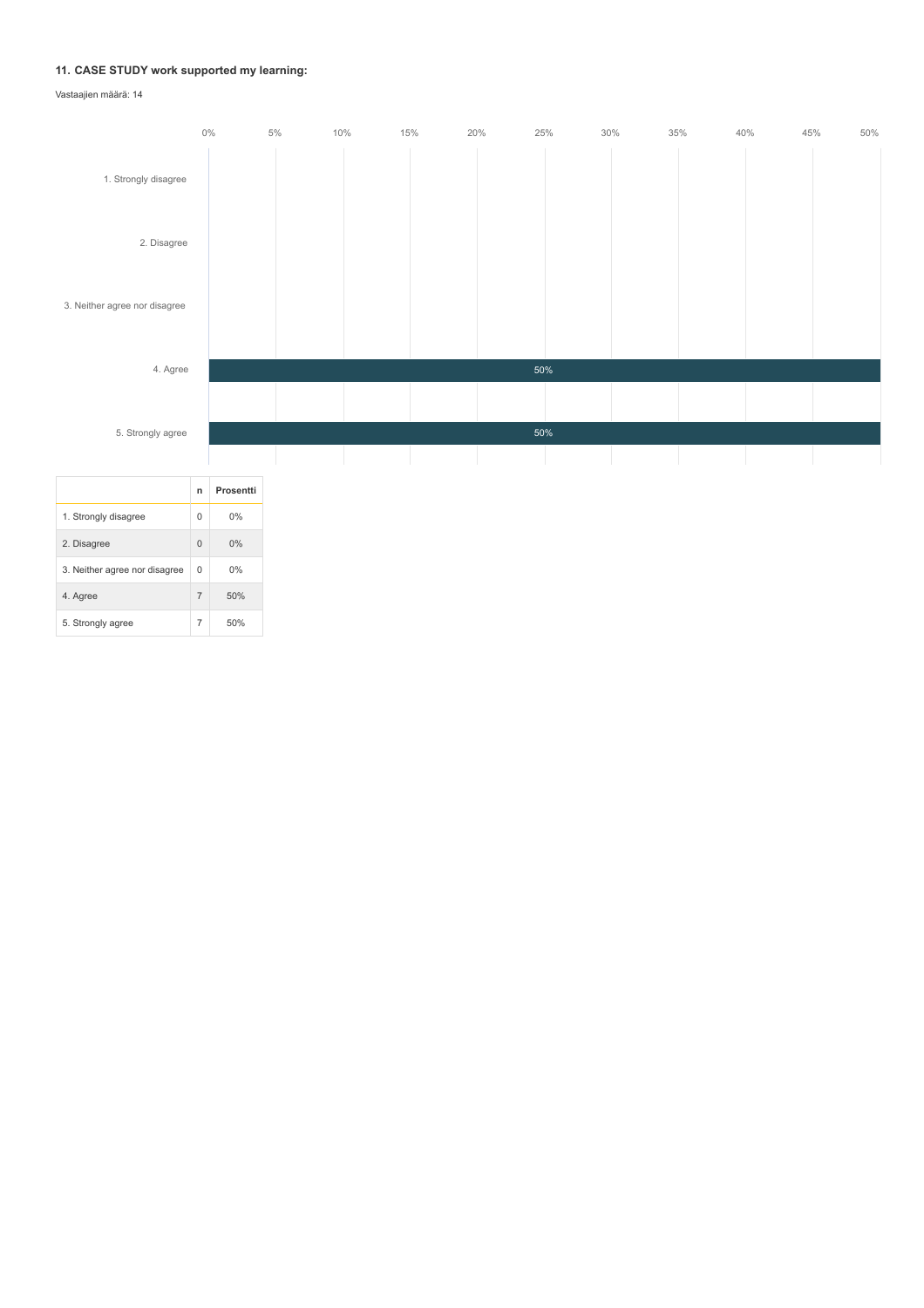## **11. CASE STUDY work supported my learning:**



|                               | п              | Prosentti |
|-------------------------------|----------------|-----------|
| 1. Strongly disagree          | $\Omega$       | 0%        |
| 2. Disagree                   | $\Omega$       | 0%        |
| 3. Neither agree nor disagree | $\Omega$       | 0%        |
| 4. Agree                      | $\overline{7}$ | 50%       |
| 5. Strongly agree             | $\overline{7}$ | 50%       |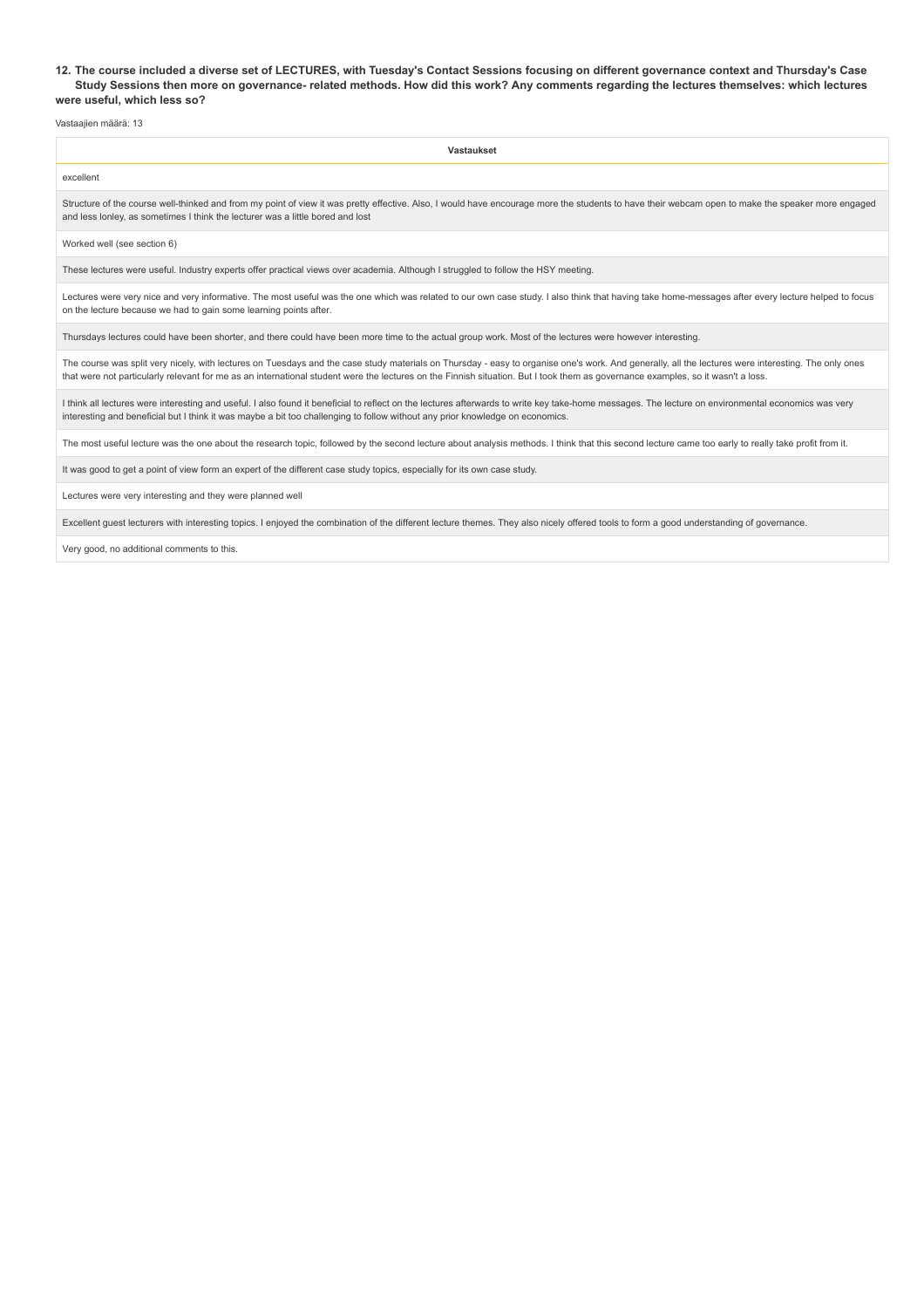#### **12. The course included a diverse set of LECTURES, with Tuesday's Contact Sessions focusing on different governance context and Thursday's Case Study Sessions then more on governance- related methods. How did this work? Any comments regarding the lectures themselves: which lectures were useful, which less so?**

Vastaajien määrä: 13

| <b>Vastaukset</b>                                                                                                                                                                                                                                                                   |  |  |  |
|-------------------------------------------------------------------------------------------------------------------------------------------------------------------------------------------------------------------------------------------------------------------------------------|--|--|--|
| excellent                                                                                                                                                                                                                                                                           |  |  |  |
| Structure of the course well-thinked and from my point of view it was pretty effective. Also, I would have encourage more the students to have their webcam open to make the speaker more engaged<br>and less lonley, as sometimes I think the lecturer was a little bored and lost |  |  |  |
| Worked well (see section 6)                                                                                                                                                                                                                                                         |  |  |  |
| These lectures were useful. Industry experts offer practical views over academia. Although I struggled to follow the HSY meeting.                                                                                                                                                   |  |  |  |
| Lectures were very nice and very informative. The most useful was the one which was related to our own case study. I also think that having take home-messages after every lecture helped to focus<br>on the lecture because we had to gain some learning points after.             |  |  |  |
| Thursdays lectures could have been shorter, and there could have been more time to the actual group work. Most of the lectures were however interesting.                                                                                                                            |  |  |  |
|                                                                                                                                                                                                                                                                                     |  |  |  |

The course was split very nicely, with lectures on Tuesdays and the case study materials on Thursday - easy to organise one's work. And generally, all the lectures were interesting. The only ones that were not particularly relevant for me as an international student were the lectures on the Finnish situation. But I took them as governance examples, so it wasn't a loss.

I think all lectures were interesting and useful. I also found it beneficial to reflect on the lectures afterwards to write key take-home messages. The lecture on environmental economics was very interesting and beneficial but I think it was maybe a bit too challenging to follow without any prior knowledge on economics.

The most useful lecture was the one about the research topic, followed by the second lecture about analysis methods. I think that this second lecture came too early to really take profit from it.

It was good to get a point of view form an expert of the different case study topics, especially for its own case study.

Lectures were very interesting and they were planned well

Excellent guest lecturers with interesting topics. I enjoyed the combination of the different lecture themes. They also nicely offered tools to form a good understanding of governance.

Very good, no additional comments to this.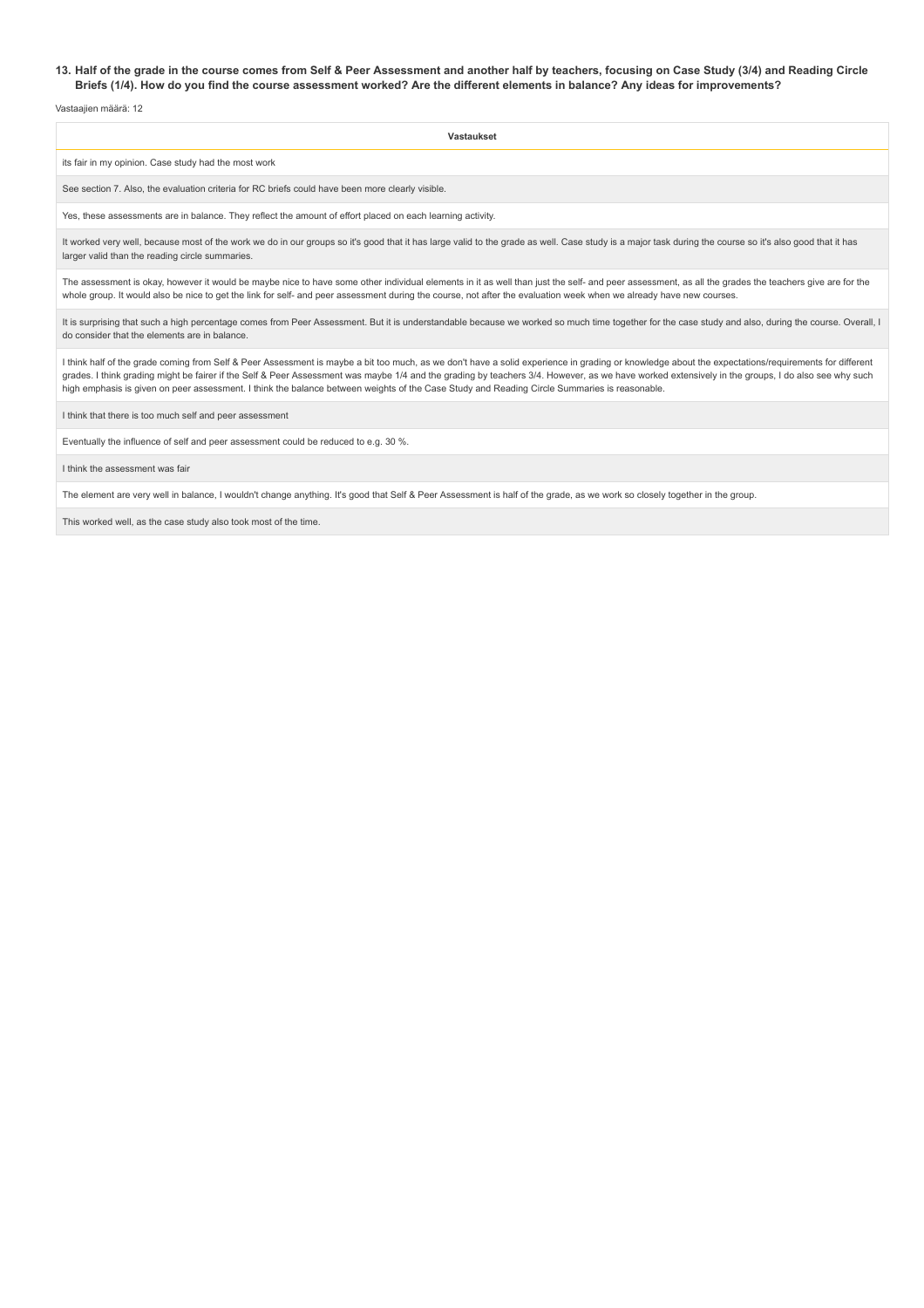## **13. Half of the grade in the course comes from Self & Peer Assessment and another half by teachers, focusing on Case Study (3/4) and Reading Circle Briefs (1/4). How do you find the course assessment worked? Are the different elements in balance? Any ideas for improvements?**

Vastaajien määrä: 12

| Vastaukset                                                                                                                                                                                                                                                                                                                                                                                                                                                                                                                                               |  |  |  |
|----------------------------------------------------------------------------------------------------------------------------------------------------------------------------------------------------------------------------------------------------------------------------------------------------------------------------------------------------------------------------------------------------------------------------------------------------------------------------------------------------------------------------------------------------------|--|--|--|
| its fair in my opinion. Case study had the most work                                                                                                                                                                                                                                                                                                                                                                                                                                                                                                     |  |  |  |
| See section 7. Also, the evaluation criteria for RC briefs could have been more clearly visible.                                                                                                                                                                                                                                                                                                                                                                                                                                                         |  |  |  |
| Yes, these assessments are in balance. They reflect the amount of effort placed on each learning activity.                                                                                                                                                                                                                                                                                                                                                                                                                                               |  |  |  |
| It worked very well, because most of the work we do in our groups so it's good that it has large valid to the grade as well. Case study is a major task during the course so it's also good that it has<br>larger valid than the reading circle summaries.                                                                                                                                                                                                                                                                                               |  |  |  |
| The assessment is okay, however it would be maybe nice to have some other individual elements in it as well than just the self- and peer assessment, as all the grades the teachers give are for the<br>whole group. It would also be nice to get the link for self- and peer assessment during the course, not after the evaluation week when we already have new courses.                                                                                                                                                                              |  |  |  |
| It is surprising that such a high percentage comes from Peer Assessment. But it is understandable because we worked so much time together for the case study and also, during the course. Overall, I<br>do consider that the elements are in balance.                                                                                                                                                                                                                                                                                                    |  |  |  |
| I think half of the grade coming from Self & Peer Assessment is maybe a bit too much, as we don't have a solid experience in grading or knowledge about the expectations/requirements for different<br>grades. I think grading might be fairer if the Self & Peer Assessment was maybe 1/4 and the grading by teachers 3/4. However, as we have worked extensively in the groups, I do also see why such<br>high emphasis is given on peer assessment. I think the balance between weights of the Case Study and Reading Circle Summaries is reasonable. |  |  |  |

I think that there is too much self and peer assessment

Eventually the influence of self and peer assessment could be reduced to e.g. 30 %.

I think the assessment was fair

The element are very well in balance, I wouldn't change anything. It's good that Self & Peer Assessment is half of the grade, as we work so closely together in the group.

This worked well, as the case study also took most of the time.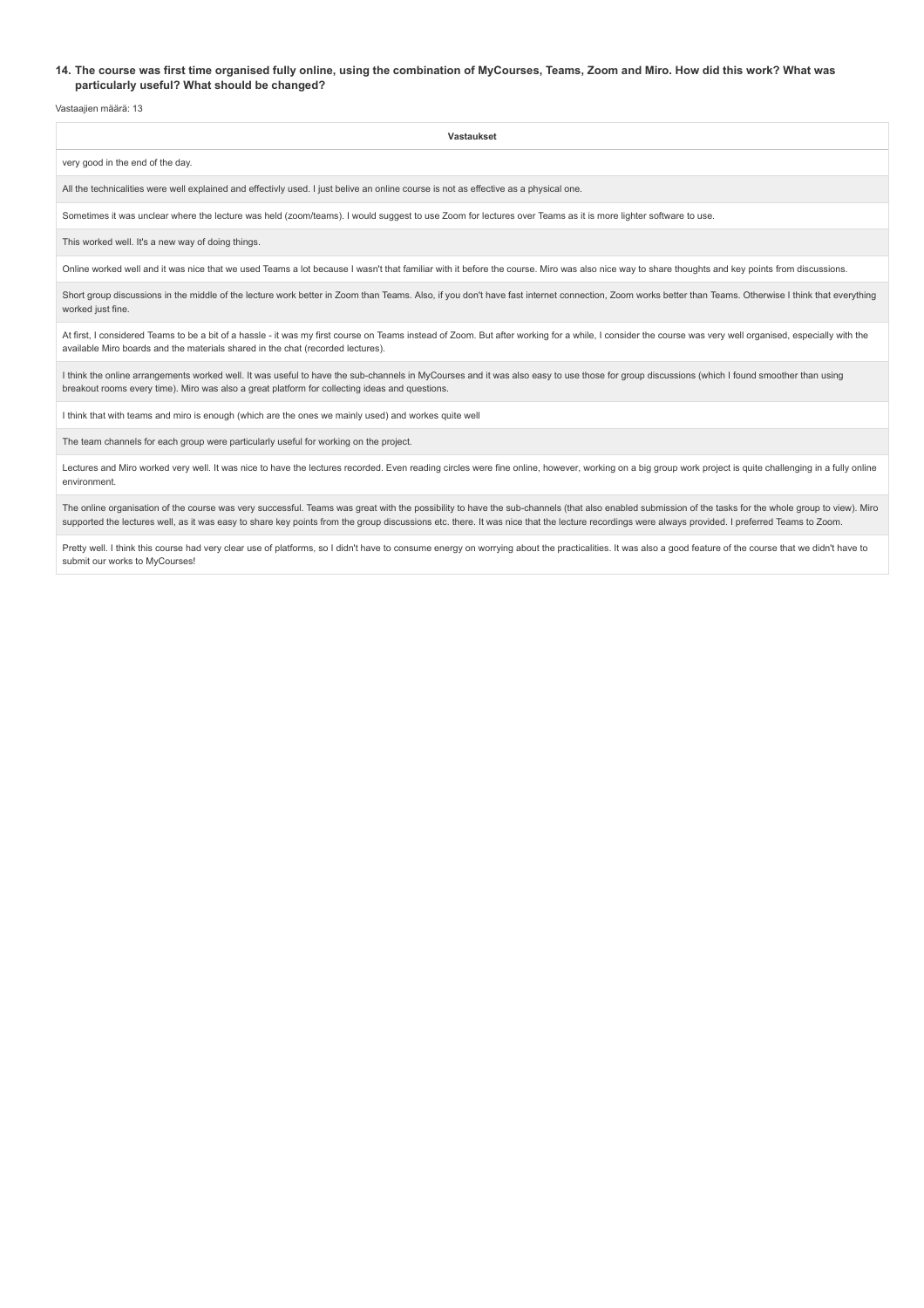## **14. The course was first time organised fully online, using the combination of MyCourses, Teams, Zoom and Miro. How did this work? What was particularly useful? What should be changed?**

Vastaajien määrä: 13

| Vastaukset                                                                                                                                                                                      |  |  |
|-------------------------------------------------------------------------------------------------------------------------------------------------------------------------------------------------|--|--|
| very good in the end of the day.                                                                                                                                                                |  |  |
| All the technicalities were well explained and effectivly used. I just belive an online course is not as effective as a physical one.                                                           |  |  |
| Sometimes it was unclear where the lecture was held (zoom/teams). I would suggest to use Zoom for lectures over Teams as it is more lighter software to use.                                    |  |  |
| This worked well. It's a new way of doing things.                                                                                                                                               |  |  |
| Online worked well and it was nice that we used Teams a lot because I wasn't that familiar with it before the course. Miro was also nice way to share thoughts and key points from discussions. |  |  |

Short group discussions in the middle of the lecture work better in Zoom than Teams. Also, if you don't have fast internet connection, Zoom works better than Teams. Otherwise I think that everything worked just fine.

At first, I considered Teams to be a bit of a hassle - it was my first course on Teams instead of Zoom. But after working for a while, I consider the course was very well organised, especially with the available Miro boards and the materials shared in the chat (recorded lectures).

I think the online arrangements worked well. It was useful to have the sub-channels in MyCourses and it was also easy to use those for group discussions (which I found smoother than using breakout rooms every time). Miro was also a great platform for collecting ideas and questions.

I think that with teams and miro is enough (which are the ones we mainly used) and workes quite well

The team channels for each group were particularly useful for working on the project.

Lectures and Miro worked very well. It was nice to have the lectures recorded. Even reading circles were fine online, however, working on a big group work project is quite challenging in a fully online environment.

The online organisation of the course was very successful. Teams was great with the possibility to have the sub-channels (that also enabled submission of the tasks for the whole group to view). Miro supported the lectures well, as it was easy to share key points from the group discussions etc. there. It was nice that the lecture recordings were always provided. I preferred Teams to Zoom.

Pretty well. I think this course had very clear use of platforms, so I didn't have to consume energy on worrying about the practicalities. It was also a good feature of the course that we didn't have to submit our works to MyCourses!